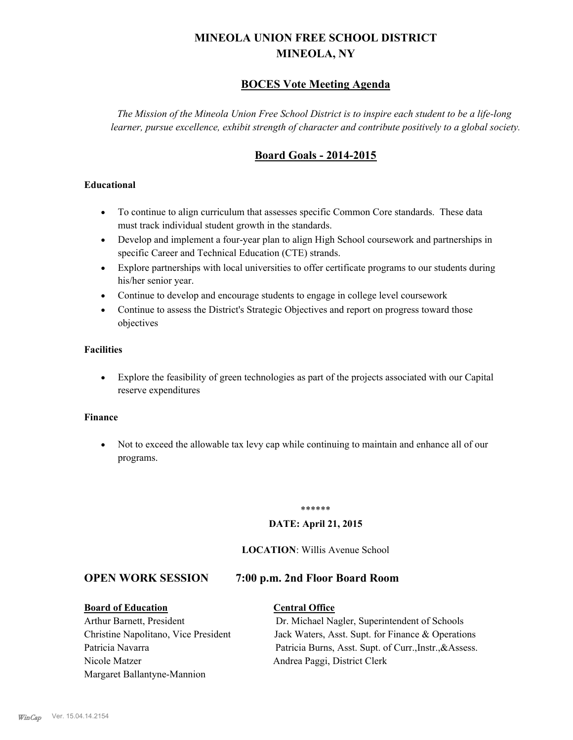# **MINEOLA UNION FREE SCHOOL DISTRICT MINEOLA, NY**

# **BOCES Vote Meeting Agenda**

*The Mission of the Mineola Union Free School District is to inspire each student to be a life-long learner, pursue excellence, exhibit strength of character and contribute positively to a global society.*

# **Board Goals - 2014-2015**

## **Educational**

- · To continue to align curriculum that assesses specific Common Core standards. These data must track individual student growth in the standards.
- · Develop and implement a four-year plan to align High School coursework and partnerships in specific Career and Technical Education (CTE) strands.
- · Explore partnerships with local universities to offer certificate programs to our students during his/her senior year.
- · Continue to develop and encourage students to engage in college level coursework
- Continue to assess the District's Strategic Objectives and report on progress toward those objectives

## **Facilities**

· Explore the feasibility of green technologies as part of the projects associated with our Capital reserve expenditures

### **Finance**

· Not to exceed the allowable tax levy cap while continuing to maintain and enhance all of our programs.

#### \*\*\*\*\*\*

### **DATE: April 21, 2015**

## **LOCATION**: Willis Avenue School

# **OPEN WORK SESSION 7:00 p.m. 2nd Floor Board Room**

**Board of Education Central Office** Arthur Barnett, President Dr. Michael Nagler, Superintendent of Schools Christine Napolitano, Vice President Jack Waters, Asst. Supt. for Finance & Operations Patricia Navarra Patricia Burns, Asst. Supt. of Curr., Instr., & Assess. Nicole Matzer Andrea Paggi, District Clerk Margaret Ballantyne-Mannion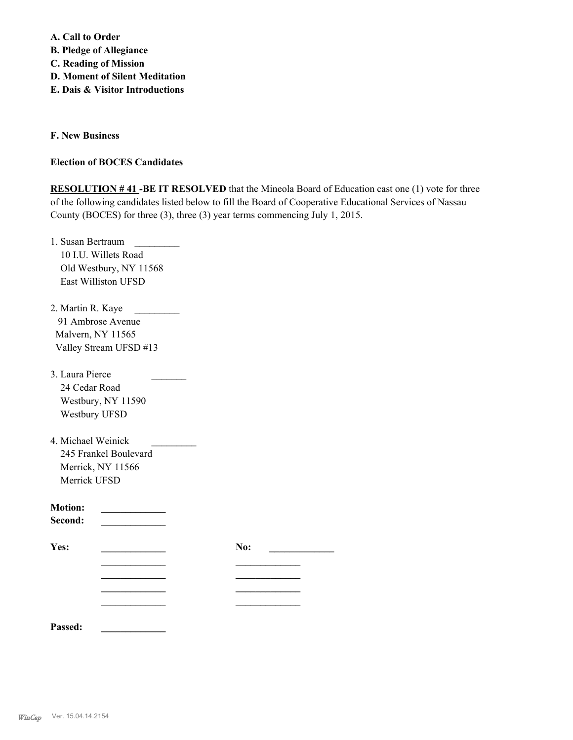**A. Call to Order B. Pledge of Allegiance C. Reading of Mission D. Moment of Silent Meditation E. Dais & Visitor Introductions**

**F. New Business**

## **Election of BOCES Candidates**

**RESOLUTION #41-BE IT RESOLVED** that the Mineola Board of Education cast one (1) vote for three of the following candidates listed below to fill the Board of Cooperative Educational Services of Nassau County (BOCES) for three (3), three (3) year terms commencing July 1, 2015.

| 1. Susan Bertraum                             |     |
|-----------------------------------------------|-----|
| 10 I.U. Willets Road                          |     |
| Old Westbury, NY 11568                        |     |
| East Williston UFSD                           |     |
| 2. Martin R. Kaye<br><b>Contract Contract</b> |     |
| 91 Ambrose Avenue                             |     |
| Malvern, NY 11565                             |     |
| Valley Stream UFSD #13                        |     |
| 3. Laura Pierce                               |     |
| 24 Cedar Road                                 |     |
| Westbury, NY 11590                            |     |
| Westbury UFSD                                 |     |
| 4. Michael Weinick                            |     |
| 245 Frankel Boulevard                         |     |
| Merrick, NY 11566                             |     |
| Merrick UFSD                                  |     |
| <b>Motion:</b>                                |     |
| Second:                                       |     |
| Yes:                                          | No: |
|                                               |     |
|                                               |     |
|                                               |     |
|                                               |     |
| Passed:                                       |     |